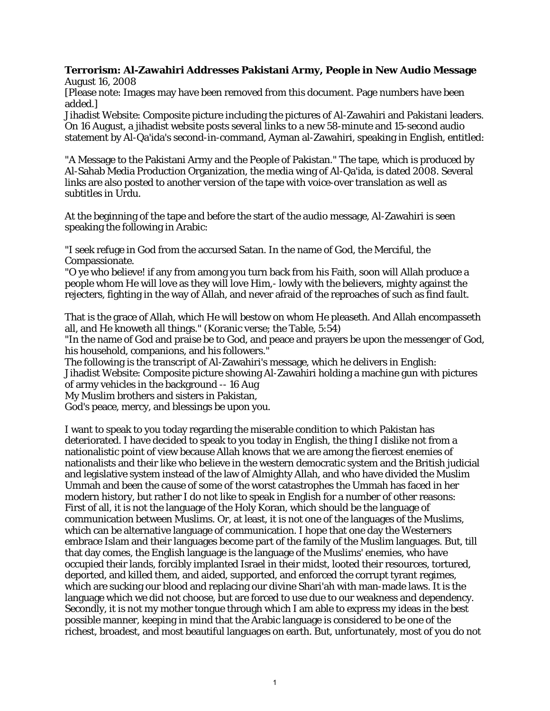## **Terrorism: Al-Zawahiri Addresses Pakistani Army, People in New Audio Message**

August 16, 2008

[Please note: Images may have been removed from this document. Page numbers have been added.]

Jihadist Website: Composite picture including the pictures of Al-Zawahiri and Pakistani leaders. On 16 August, a jihadist website posts several links to a new 58-minute and 15-second audio statement by Al-Qa'ida's second-in-command, Ayman al-Zawahiri, speaking in English, entitled:

"A Message to the Pakistani Army and the People of Pakistan." The tape, which is produced by Al-Sahab Media Production Organization, the media wing of Al-Qa'ida, is dated 2008. Several links are also posted to another version of the tape with voice-over translation as well as subtitles in Urdu.

At the beginning of the tape and before the start of the audio message, Al-Zawahiri is seen speaking the following in Arabic:

"I seek refuge in God from the accursed Satan. In the name of God, the Merciful, the Compassionate.

"O ye who believe! if any from among you turn back from his Faith, soon will Allah produce a people whom He will love as they will love Him,- lowly with the believers, mighty against the rejecters, fighting in the way of Allah, and never afraid of the reproaches of such as find fault.

That is the grace of Allah, which He will bestow on whom He pleaseth. And Allah encompasseth all, and He knoweth all things." (Koranic verse; the Table, 5:54)

"In the name of God and praise be to God, and peace and prayers be upon the messenger of God, his household, companions, and his followers."

The following is the transcript of Al-Zawahiri's message, which he delivers in English: Jihadist Website: Composite picture showing Al-Zawahiri holding a machine gun with pictures of army vehicles in the background -- 16 Aug

My Muslim brothers and sisters in Pakistan,

God's peace, mercy, and blessings be upon you.

I want to speak to you today regarding the miserable condition to which Pakistan has deteriorated. I have decided to speak to you today in English, the thing I dislike not from a nationalistic point of view because Allah knows that we are among the fiercest enemies of nationalists and their like who believe in the western democratic system and the British judicial and legislative system instead of the law of Almighty Allah, and who have divided the Muslim Ummah and been the cause of some of the worst catastrophes the Ummah has faced in her modern history, but rather I do not like to speak in English for a number of other reasons: First of all, it is not the language of the Holy Koran, which should be the language of communication between Muslims. Or, at least, it is not one of the languages of the Muslims, which can be alternative language of communication. I hope that one day the Westerners embrace Islam and their languages become part of the family of the Muslim languages. But, till that day comes, the English language is the language of the Muslims' enemies, who have occupied their lands, forcibly implanted Israel in their midst, looted their resources, tortured, deported, and killed them, and aided, supported, and enforced the corrupt tyrant regimes, which are sucking our blood and replacing our divine Shari'ah with man-made laws. It is the language which we did not choose, but are forced to use due to our weakness and dependency. Secondly, it is not my mother tongue through which I am able to express my ideas in the best possible manner, keeping in mind that the Arabic language is considered to be one of the richest, broadest, and most beautiful languages on earth. But, unfortunately, most of you do not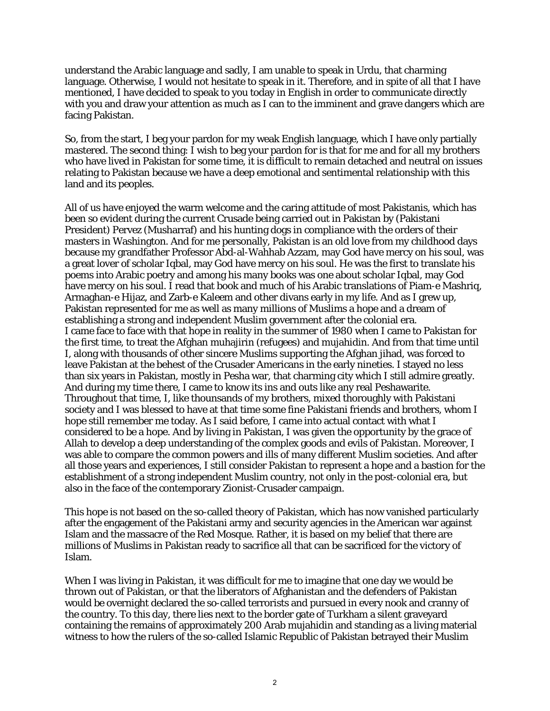understand the Arabic language and sadly, I am unable to speak in Urdu, that charming language. Otherwise, I would not hesitate to speak in it. Therefore, and in spite of all that I have mentioned, I have decided to speak to you today in English in order to communicate directly with you and draw your attention as much as I can to the imminent and grave dangers which are facing Pakistan.

So, from the start, I beg your pardon for my weak English language, which I have only partially mastered. The second thing: I wish to beg your pardon for is that for me and for all my brothers who have lived in Pakistan for some time, it is difficult to remain detached and neutral on issues relating to Pakistan because we have a deep emotional and sentimental relationship with this land and its peoples.

All of us have enjoyed the warm welcome and the caring attitude of most Pakistanis, which has been so evident during the current Crusade being carried out in Pakistan by (Pakistani President) Pervez (Musharraf) and his hunting dogs in compliance with the orders of their masters in Washington. And for me personally, Pakistan is an old love from my childhood days because my grandfather Professor Abd-al-Wahhab Azzam, may God have mercy on his soul, was a great lover of scholar Iqbal, may God have mercy on his soul. He was the first to translate his poems into Arabic poetry and among his many books was one about scholar Iqbal, may God have mercy on his soul. I read that book and much of his Arabic translations of Piam-e Mashriq, Armaghan-e Hijaz, and Zarb-e Kaleem and other divans early in my life. And as I grew up, Pakistan represented for me as well as many millions of Muslims a hope and a dream of establishing a strong and independent Muslim government after the colonial era. I came face to face with that hope in reality in the summer of 1980 when I came to Pakistan for the first time, to treat the Afghan muhajirin (refugees) and mujahidin. And from that time until I, along with thousands of other sincere Muslims supporting the Afghan jihad, was forced to leave Pakistan at the behest of the Crusader Americans in the early nineties. I stayed no less than six years in Pakistan, mostly in Pesha war, that charming city which I still admire greatly. And during my time there, I came to know its ins and outs like any real Peshawarite. Throughout that time, I, like thounsands of my brothers, mixed thoroughly with Pakistani society and I was blessed to have at that time some fine Pakistani friends and brothers, whom I hope still remember me today. As I said before, I came into actual contact with what I considered to be a hope. And by living in Pakistan, I was given the opportunity by the grace of Allah to develop a deep understanding of the complex goods and evils of Pakistan. Moreover, I was able to compare the common powers and ills of many different Muslim societies. And after all those years and experiences, I still consider Pakistan to represent a hope and a bastion for the establishment of a strong independent Muslim country, not only in the post-colonial era, but also in the face of the contemporary Zionist-Crusader campaign.

This hope is not based on the so-called theory of Pakistan, which has now vanished particularly after the engagement of the Pakistani army and security agencies in the American war against Islam and the massacre of the Red Mosque. Rather, it is based on my belief that there are millions of Muslims in Pakistan ready to sacrifice all that can be sacrificed for the victory of Islam.

When I was living in Pakistan, it was difficult for me to imagine that one day we would be thrown out of Pakistan, or that the liberators of Afghanistan and the defenders of Pakistan would be overnight declared the so-called terrorists and pursued in every nook and cranny of the country. To this day, there lies next to the border gate of Turkham a silent graveyard containing the remains of approximately 200 Arab mujahidin and standing as a living material witness to how the rulers of the so-called Islamic Republic of Pakistan betrayed their Muslim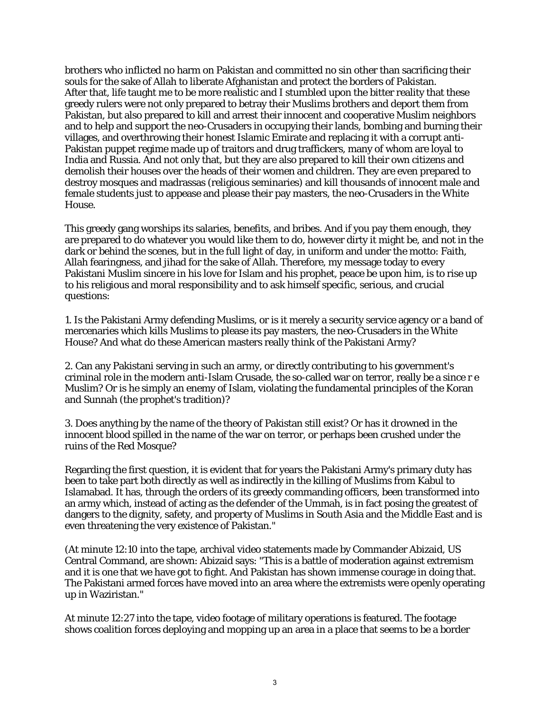brothers who inflicted no harm on Pakistan and committed no sin other than sacrificing their souls for the sake of Allah to liberate Afghanistan and protect the borders of Pakistan. After that, life taught me to be more realistic and I stumbled upon the bitter reality that these greedy rulers were not only prepared to betray their Muslims brothers and deport them from Pakistan, but also prepared to kill and arrest their innocent and cooperative Muslim neighbors and to help and support the neo-Crusaders in occupying their lands, bombing and burning their villages, and overthrowing their honest Islamic Emirate and replacing it with a corrupt anti-Pakistan puppet regime made up of traitors and drug traffickers, many of whom are loyal to India and Russia. And not only that, but they are also prepared to kill their own citizens and demolish their houses over the heads of their women and children. They are even prepared to destroy mosques and madrassas (religious seminaries) and kill thousands of innocent male and female students just to appease and please their pay masters, the neo-Crusaders in the White House.

This greedy gang worships its salaries, benefits, and bribes. And if you pay them enough, they are prepared to do whatever you would like them to do, however dirty it might be, and not in the dark or behind the scenes, but in the full light of day, in uniform and under the motto: Faith, Allah fearingness, and jihad for the sake of Allah. Therefore, my message today to every Pakistani Muslim sincere in his love for Islam and his prophet, peace be upon him, is to rise up to his religious and moral responsibility and to ask himself specific, serious, and crucial questions:

1. Is the Pakistani Army defending Muslims, or is it merely a security service agency or a band of mercenaries which kills Muslims to please its pay masters, the neo-Crusaders in the White House? And what do these American masters really think of the Pakistani Army?

2. Can any Pakistani serving in such an army, or directly contributing to his government's criminal role in the modern anti-Islam Crusade, the so-called war on terror, really be a since r e Muslim? Or is he simply an enemy of Islam, violating the fundamental principles of the Koran and Sunnah (the prophet's tradition)?

3. Does anything by the name of the theory of Pakistan still exist? Or has it drowned in the innocent blood spilled in the name of the war on terror, or perhaps been crushed under the ruins of the Red Mosque?

Regarding the first question, it is evident that for years the Pakistani Army's primary duty has been to take part both directly as well as indirectly in the killing of Muslims from Kabul to Islamabad. It has, through the orders of its greedy commanding officers, been transformed into an army which, instead of acting as the defender of the Ummah, is in fact posing the greatest of dangers to the dignity, safety, and property of Muslims in South Asia and the Middle East and is even threatening the very existence of Pakistan."

(At minute 12:10 into the tape, archival video statements made by Commander Abizaid, US Central Command, are shown: Abizaid says: "This is a battle of moderation against extremism and it is one that we have got to fight. And Pakistan has shown immense courage in doing that. The Pakistani armed forces have moved into an area where the extremists were openly operating up in Waziristan."

At minute 12:27 into the tape, video footage of military operations is featured. The footage shows coalition forces deploying and mopping up an area in a place that seems to be a border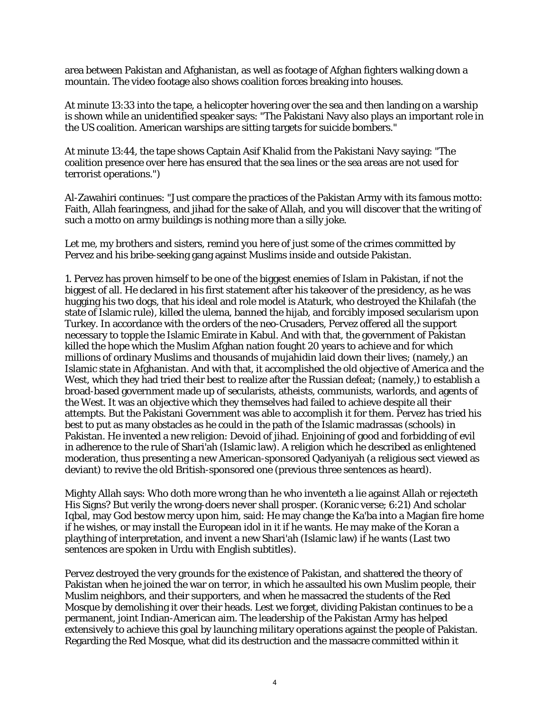area between Pakistan and Afghanistan, as well as footage of Afghan fighters walking down a mountain. The video footage also shows coalition forces breaking into houses.

At minute 13:33 into the tape, a helicopter hovering over the sea and then landing on a warship is shown while an unidentified speaker says: "The Pakistani Navy also plays an important role in the US coalition. American warships are sitting targets for suicide bombers."

At minute 13:44, the tape shows Captain Asif Khalid from the Pakistani Navy saying: "The coalition presence over here has ensured that the sea lines or the sea areas are not used for terrorist operations.")

Al-Zawahiri continues: "Just compare the practices of the Pakistan Army with its famous motto: Faith, Allah fearingness, and jihad for the sake of Allah, and you will discover that the writing of such a motto on army buildings is nothing more than a silly joke.

Let me, my brothers and sisters, remind you here of just some of the crimes committed by Pervez and his bribe-seeking gang against Muslims inside and outside Pakistan.

1. Pervez has proven himself to be one of the biggest enemies of Islam in Pakistan, if not the biggest of all. He declared in his first statement after his takeover of the presidency, as he was hugging his two dogs, that his ideal and role model is Ataturk, who destroyed the Khilafah (the state of Islamic rule), killed the ulema, banned the hijab, and forcibly imposed secularism upon Turkey. In accordance with the orders of the neo-Crusaders, Pervez offered all the support necessary to topple the Islamic Emirate in Kabul. And with that, the government of Pakistan killed the hope which the Muslim Afghan nation fought 20 years to achieve and for which millions of ordinary Muslims and thousands of mujahidin laid down their lives; (namely,) an Islamic state in Afghanistan. And with that, it accomplished the old objective of America and the West, which they had tried their best to realize after the Russian defeat; (namely,) to establish a broad-based government made up of secularists, atheists, communists, warlords, and agents of the West. It was an objective which they themselves had failed to achieve despite all their attempts. But the Pakistani Government was able to accomplish it for them. Pervez has tried his best to put as many obstacles as he could in the path of the Islamic madrassas (schools) in Pakistan. He invented a new religion: Devoid of jihad. Enjoining of good and forbidding of evil in adherence to the rule of Shari'ah (Islamic law). A religion which he described as enlightened moderation, thus presenting a new American-sponsored Qadyaniyah (a religious sect viewed as deviant) to revive the old British-sponsored one (previous three sentences as heard).

Mighty Allah says: Who doth more wrong than he who inventeth a lie against Allah or rejecteth His Signs? But verily the wrong-doers never shall prosper. (Koranic verse; 6:21) And scholar Iqbal, may God bestow mercy upon him, said: He may change the Ka'ba into a Magian fire home if he wishes, or may install the European idol in it if he wants. He may make of the Koran a plaything of interpretation, and invent a new Shari'ah (Islamic law) if he wants (Last two sentences are spoken in Urdu with English subtitles).

Pervez destroyed the very grounds for the existence of Pakistan, and shattered the theory of Pakistan when he joined the war on terror, in which he assaulted his own Muslim people, their Muslim neighbors, and their supporters, and when he massacred the students of the Red Mosque by demolishing it over their heads. Lest we forget, dividing Pakistan continues to be a permanent, joint Indian-American aim. The leadership of the Pakistan Army has helped extensively to achieve this goal by launching military operations against the people of Pakistan. Regarding the Red Mosque, what did its destruction and the massacre committed within it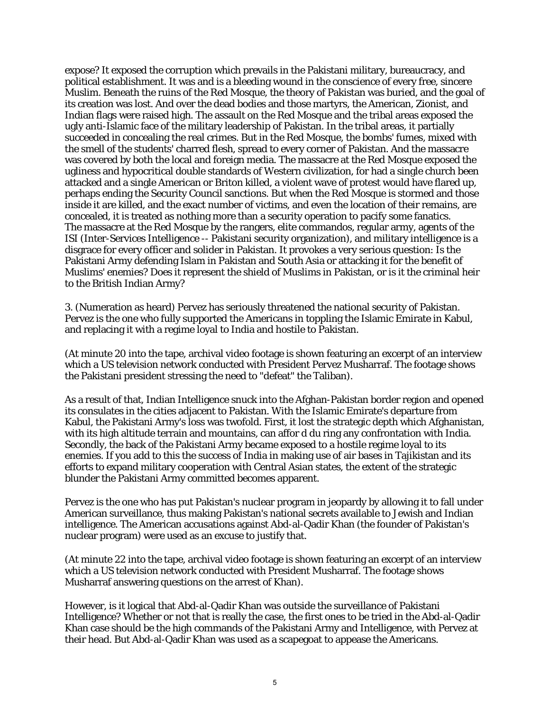expose? It exposed the corruption which prevails in the Pakistani military, bureaucracy, and political establishment. It was and is a bleeding wound in the conscience of every free, sincere Muslim. Beneath the ruins of the Red Mosque, the theory of Pakistan was buried, and the goal of its creation was lost. And over the dead bodies and those martyrs, the American, Zionist, and Indian flags were raised high. The assault on the Red Mosque and the tribal areas exposed the ugly anti-Islamic face of the military leadership of Pakistan. In the tribal areas, it partially succeeded in concealing the real crimes. But in the Red Mosque, the bombs' fumes, mixed with the smell of the students' charred flesh, spread to every corner of Pakistan. And the massacre was covered by both the local and foreign media. The massacre at the Red Mosque exposed the ugliness and hypocritical double standards of Western civilization, for had a single church been attacked and a single American or Briton killed, a violent wave of protest would have flared up, perhaps ending the Security Council sanctions. But when the Red Mosque is stormed and those inside it are killed, and the exact number of victims, and even the location of their remains, are concealed, it is treated as nothing more than a security operation to pacify some fanatics. The massacre at the Red Mosque by the rangers, elite commandos, regular army, agents of the ISI (Inter-Services Intelligence -- Pakistani security organization), and military intelligence is a disgrace for every officer and solider in Pakistan. It provokes a very serious question: Is the Pakistani Army defending Islam in Pakistan and South Asia or attacking it for the benefit of Muslims' enemies? Does it represent the shield of Muslims in Pakistan, or is it the criminal heir to the British Indian Army?

3. (Numeration as heard) Pervez has seriously threatened the national security of Pakistan. Pervez is the one who fully supported the Americans in toppling the Islamic Emirate in Kabul, and replacing it with a regime loyal to India and hostile to Pakistan.

(At minute 20 into the tape, archival video footage is shown featuring an excerpt of an interview which a US television network conducted with President Pervez Musharraf. The footage shows the Pakistani president stressing the need to "defeat" the Taliban).

As a result of that, Indian Intelligence snuck into the Afghan-Pakistan border region and opened its consulates in the cities adjacent to Pakistan. With the Islamic Emirate's departure from Kabul, the Pakistani Army's loss was twofold. First, it lost the strategic depth which Afghanistan, with its high altitude terrain and mountains, can affor d du ring any confrontation with India. Secondly, the back of the Pakistani Army became exposed to a hostile regime loyal to its enemies. If you add to this the success of India in making use of air bases in Tajikistan and its efforts to expand military cooperation with Central Asian states, the extent of the strategic blunder the Pakistani Army committed becomes apparent.

Pervez is the one who has put Pakistan's nuclear program in jeopardy by allowing it to fall under American surveillance, thus making Pakistan's national secrets available to Jewish and Indian intelligence. The American accusations against Abd-al-Qadir Khan (the founder of Pakistan's nuclear program) were used as an excuse to justify that.

(At minute 22 into the tape, archival video footage is shown featuring an excerpt of an interview which a US television network conducted with President Musharraf. The footage shows Musharraf answering questions on the arrest of Khan).

However, is it logical that Abd-al-Qadir Khan was outside the surveillance of Pakistani Intelligence? Whether or not that is really the case, the first ones to be tried in the Abd-al-Qadir Khan case should be the high commands of the Pakistani Army and Intelligence, with Pervez at their head. But Abd-al-Qadir Khan was used as a scapegoat to appease the Americans.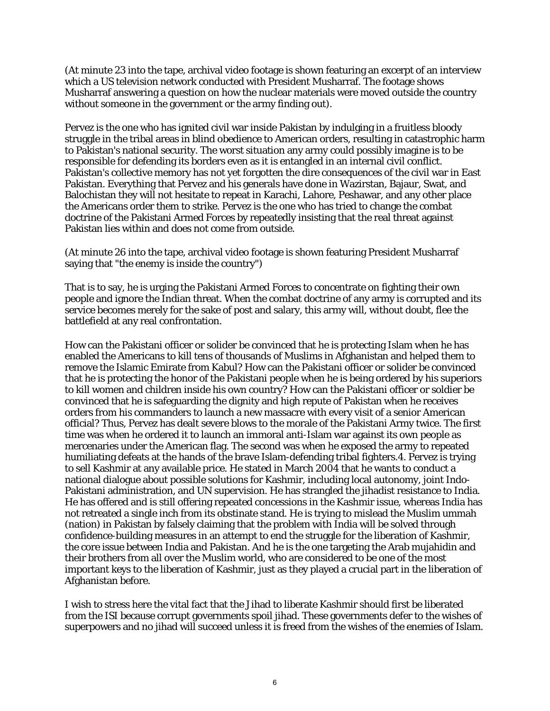(At minute 23 into the tape, archival video footage is shown featuring an excerpt of an interview which a US television network conducted with President Musharraf. The footage shows Musharraf answering a question on how the nuclear materials were moved outside the country without someone in the government or the army finding out).

Pervez is the one who has ignited civil war inside Pakistan by indulging in a fruitless bloody struggle in the tribal areas in blind obedience to American orders, resulting in catastrophic harm to Pakistan's national security. The worst situation any army could possibly imagine is to be responsible for defending its borders even as it is entangled in an internal civil conflict. Pakistan's collective memory has not yet forgotten the dire consequences of the civil war in East Pakistan. Everything that Pervez and his generals have done in Wazirstan, Bajaur, Swat, and Balochistan they will not hesitate to repeat in Karachi, Lahore, Peshawar, and any other place the Americans order them to strike. Pervez is the one who has tried to change the combat doctrine of the Pakistani Armed Forces by repeatedly insisting that the real threat against Pakistan lies within and does not come from outside.

(At minute 26 into the tape, archival video footage is shown featuring President Musharraf saying that "the enemy is inside the country")

That is to say, he is urging the Pakistani Armed Forces to concentrate on fighting their own people and ignore the Indian threat. When the combat doctrine of any army is corrupted and its service becomes merely for the sake of post and salary, this army will, without doubt, flee the battlefield at any real confrontation.

How can the Pakistani officer or solider be convinced that he is protecting Islam when he has enabled the Americans to kill tens of thousands of Muslims in Afghanistan and helped them to remove the Islamic Emirate from Kabul? How can the Pakistani officer or solider be convinced that he is protecting the honor of the Pakistani people when he is being ordered by his superiors to kill women and children inside his own country? How can the Pakistani officer or soldier be convinced that he is safeguarding the dignity and high repute of Pakistan when he receives orders from his commanders to launch a new massacre with every visit of a senior American official? Thus, Pervez has dealt severe blows to the morale of the Pakistani Army twice. The first time was when he ordered it to launch an immoral anti-Islam war against its own people as mercenaries under the American flag. The second was when he exposed the army to repeated humiliating defeats at the hands of the brave Islam-defending tribal fighters.4. Pervez is trying to sell Kashmir at any available price. He stated in March 2004 that he wants to conduct a national dialogue about possible solutions for Kashmir, including local autonomy, joint Indo-Pakistani administration, and UN supervision. He has strangled the jihadist resistance to India. He has offered and is still offering repeated concessions in the Kashmir issue, whereas India has not retreated a single inch from its obstinate stand. He is trying to mislead the Muslim ummah (nation) in Pakistan by falsely claiming that the problem with India will be solved through confidence-building measures in an attempt to end the struggle for the liberation of Kashmir, the core issue between India and Pakistan. And he is the one targeting the Arab mujahidin and their brothers from all over the Muslim world, who are considered to be one of the most important keys to the liberation of Kashmir, just as they played a crucial part in the liberation of Afghanistan before.

I wish to stress here the vital fact that the Jihad to liberate Kashmir should first be liberated from the ISI because corrupt governments spoil jihad. These governments defer to the wishes of superpowers and no jihad will succeed unless it is freed from the wishes of the enemies of Islam.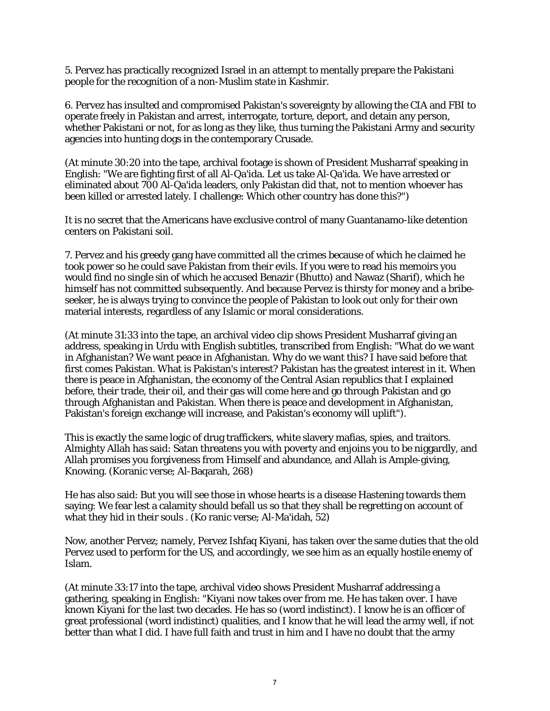5. Pervez has practically recognized Israel in an attempt to mentally prepare the Pakistani people for the recognition of a non-Muslim state in Kashmir.

6. Pervez has insulted and compromised Pakistan's sovereignty by allowing the CIA and FBI to operate freely in Pakistan and arrest, interrogate, torture, deport, and detain any person, whether Pakistani or not, for as long as they like, thus turning the Pakistani Army and security agencies into hunting dogs in the contemporary Crusade.

(At minute 30:20 into the tape, archival footage is shown of President Musharraf speaking in English: "We are fighting first of all Al-Qa'ida. Let us take Al-Qa'ida. We have arrested or eliminated about 700 Al-Qa'ida leaders, only Pakistan did that, not to mention whoever has been killed or arrested lately. I challenge: Which other country has done this?")

It is no secret that the Americans have exclusive control of many Guantanamo-like detention centers on Pakistani soil.

7. Pervez and his greedy gang have committed all the crimes because of which he claimed he took power so he could save Pakistan from their evils. If you were to read his memoirs you would find no single sin of which he accused Benazir (Bhutto) and Nawaz (Sharif), which he himself has not committed subsequently. And because Pervez is thirsty for money and a bribeseeker, he is always trying to convince the people of Pakistan to look out only for their own material interests, regardless of any Islamic or moral considerations.

(At minute 31:33 into the tape, an archival video clip shows President Musharraf giving an address, speaking in Urdu with English subtitles, transcribed from English: "What do we want in Afghanistan? We want peace in Afghanistan. Why do we want this? I have said before that first comes Pakistan. What is Pakistan's interest? Pakistan has the greatest interest in it. When there is peace in Afghanistan, the economy of the Central Asian republics that I explained before, their trade, their oil, and their gas will come here and go through Pakistan and go through Afghanistan and Pakistan. When there is peace and development in Afghanistan, Pakistan's foreign exchange will increase, and Pakistan's economy will uplift").

This is exactly the same logic of drug traffickers, white slavery mafias, spies, and traitors. Almighty Allah has said: Satan threatens you with poverty and enjoins you to be niggardly, and Allah promises you forgiveness from Himself and abundance, and Allah is Ample-giving, Knowing. (Koranic verse; Al-Baqarah, 268)

He has also said: But you will see those in whose hearts is a disease Hastening towards them saying: We fear lest a calamity should befall us so that they shall be regretting on account of what they hid in their souls . (Ko ranic verse; Al-Ma'idah, 52)

Now, another Pervez; namely, Pervez Ishfaq Kiyani, has taken over the same duties that the old Pervez used to perform for the US, and accordingly, we see him as an equally hostile enemy of Islam.

(At minute 33:17 into the tape, archival video shows President Musharraf addressing a gathering, speaking in English: "Kiyani now takes over from me. He has taken over. I have known Kiyani for the last two decades. He has so (word indistinct). I know he is an officer of great professional (word indistinct) qualities, and I know that he will lead the army well, if not better than what I did. I have full faith and trust in him and I have no doubt that the army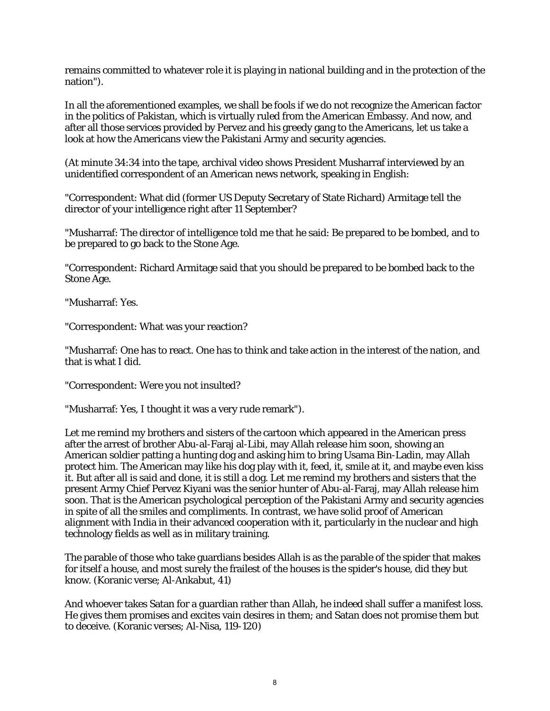remains committed to whatever role it is playing in national building and in the protection of the nation").

In all the aforementioned examples, we shall be fools if we do not recognize the American factor in the politics of Pakistan, which is virtually ruled from the American Embassy. And now, and after all those services provided by Pervez and his greedy gang to the Americans, let us take a look at how the Americans view the Pakistani Army and security agencies.

(At minute 34:34 into the tape, archival video shows President Musharraf interviewed by an unidentified correspondent of an American news network, speaking in English:

"Correspondent: What did (former US Deputy Secretary of State Richard) Armitage tell the director of your intelligence right after 11 September?

"Musharraf: The director of intelligence told me that he said: Be prepared to be bombed, and to be prepared to go back to the Stone Age.

"Correspondent: Richard Armitage said that you should be prepared to be bombed back to the Stone Age.

"Musharraf: Yes.

"Correspondent: What was your reaction?

"Musharraf: One has to react. One has to think and take action in the interest of the nation, and that is what I did.

"Correspondent: Were you not insulted?

"Musharraf: Yes, I thought it was a very rude remark").

Let me remind my brothers and sisters of the cartoon which appeared in the American press after the arrest of brother Abu-al-Faraj al-Libi, may Allah release him soon, showing an American soldier patting a hunting dog and asking him to bring Usama Bin-Ladin, may Allah protect him. The American may like his dog play with it, feed, it, smile at it, and maybe even kiss it. But after all is said and done, it is still a dog. Let me remind my brothers and sisters that the present Army Chief Pervez Kiyani was the senior hunter of Abu-al-Faraj, may Allah release him soon. That is the American psychological perception of the Pakistani Army and security agencies in spite of all the smiles and compliments. In contrast, we have solid proof of American alignment with India in their advanced cooperation with it, particularly in the nuclear and high technology fields as well as in military training.

The parable of those who take guardians besides Allah is as the parable of the spider that makes for itself a house, and most surely the frailest of the houses is the spider's house, did they but know. (Koranic verse; Al-Ankabut, 41)

And whoever takes Satan for a guardian rather than Allah, he indeed shall suffer a manifest loss. He gives them promises and excites vain desires in them; and Satan does not promise them but to deceive. (Koranic verses; Al-Nisa, 119-120)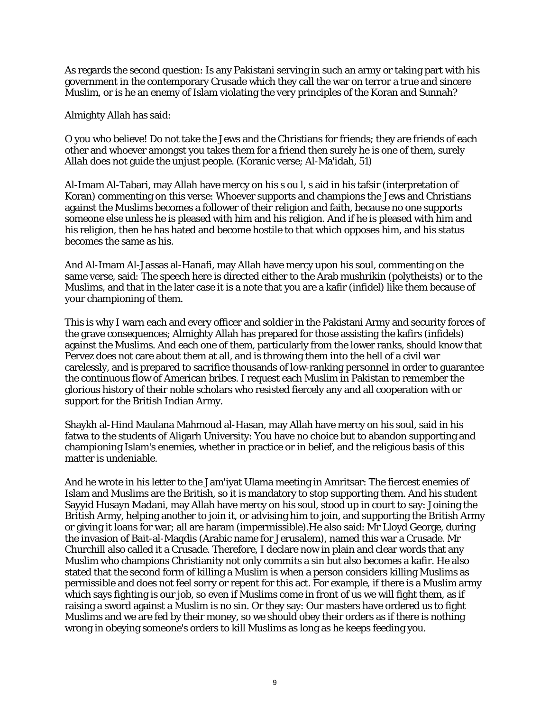As regards the second question: Is any Pakistani serving in such an army or taking part with his government in the contemporary Crusade which they call the war on terror a true and sincere Muslim, or is he an enemy of Islam violating the very principles of the Koran and Sunnah?

Almighty Allah has said:

O you who believe! Do not take the Jews and the Christians for friends; they are friends of each other and whoever amongst you takes them for a friend then surely he is one of them, surely Allah does not guide the unjust people. (Koranic verse; Al-Ma'idah, 51)

Al-Imam Al-Tabari, may Allah have mercy on his s ou l, s aid in his tafsir (interpretation of Koran) commenting on this verse: Whoever supports and champions the Jews and Christians against the Muslims becomes a follower of their religion and faith, because no one supports someone else unless he is pleased with him and his religion. And if he is pleased with him and his religion, then he has hated and become hostile to that which opposes him, and his status becomes the same as his.

And Al-Imam Al-Jassas al-Hanafi, may Allah have mercy upon his soul, commenting on the same verse, said: The speech here is directed either to the Arab mushrikin (polytheists) or to the Muslims, and that in the later case it is a note that you are a kafir (infidel) like them because of your championing of them.

This is why I warn each and every officer and soldier in the Pakistani Army and security forces of the grave consequences; Almighty Allah has prepared for those assisting the kafirs (infidels) against the Muslims. And each one of them, particularly from the lower ranks, should know that Pervez does not care about them at all, and is throwing them into the hell of a civil war carelessly, and is prepared to sacrifice thousands of low-ranking personnel in order to guarantee the continuous flow of American bribes. I request each Muslim in Pakistan to remember the glorious history of their noble scholars who resisted fiercely any and all cooperation with or support for the British Indian Army.

Shaykh al-Hind Maulana Mahmoud al-Hasan, may Allah have mercy on his soul, said in his fatwa to the students of Aligarh University: You have no choice but to abandon supporting and championing Islam's enemies, whether in practice or in belief, and the religious basis of this matter is undeniable.

And he wrote in his letter to the Jam'iyat Ulama meeting in Amritsar: The fiercest enemies of Islam and Muslims are the British, so it is mandatory to stop supporting them. And his student Sayyid Husayn Madani, may Allah have mercy on his soul, stood up in court to say: Joining the British Army, helping another to join it, or advising him to join, and supporting the British Army or giving it loans for war; all are haram (impermissible).He also said: Mr Lloyd George, during the invasion of Bait-al-Maqdis (Arabic name for Jerusalem), named this war a Crusade. Mr Churchill also called it a Crusade. Therefore, I declare now in plain and clear words that any Muslim who champions Christianity not only commits a sin but also becomes a kafir. He also stated that the second form of killing a Muslim is when a person considers killing Muslims as permissible and does not feel sorry or repent for this act. For example, if there is a Muslim army which says fighting is our job, so even if Muslims come in front of us we will fight them, as if raising a sword against a Muslim is no sin. Or they say: Our masters have ordered us to fight Muslims and we are fed by their money, so we should obey their orders as if there is nothing wrong in obeying someone's orders to kill Muslims as long as he keeps feeding you.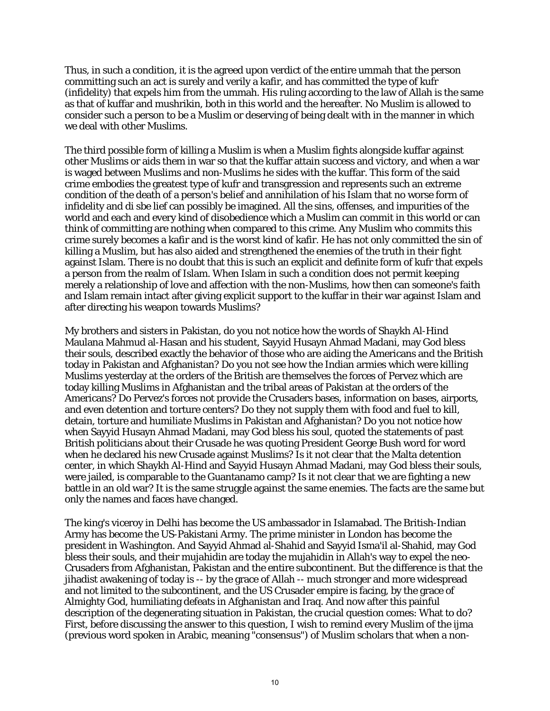Thus, in such a condition, it is the agreed upon verdict of the entire ummah that the person committing such an act is surely and verily a kafir, and has committed the type of kufr (infidelity) that expels him from the ummah. His ruling according to the law of Allah is the same as that of kuffar and mushrikin, both in this world and the hereafter. No Muslim is allowed to consider such a person to be a Muslim or deserving of being dealt with in the manner in which we deal with other Muslims.

The third possible form of killing a Muslim is when a Muslim fights alongside kuffar against other Muslims or aids them in war so that the kuffar attain success and victory, and when a war is waged between Muslims and non-Muslims he sides with the kuffar. This form of the said crime embodies the greatest type of kufr and transgression and represents such an extreme condition of the death of a person's belief and annihilation of his Islam that no worse form of infidelity and di sbe lief can possibly be imagined. All the sins, offenses, and impurities of the world and each and every kind of disobedience which a Muslim can commit in this world or can think of committing are nothing when compared to this crime. Any Muslim who commits this crime surely becomes a kafir and is the worst kind of kafir. He has not only committed the sin of killing a Muslim, but has also aided and strengthened the enemies of the truth in their fight against Islam. There is no doubt that this is such an explicit and definite form of kufr that expels a person from the realm of Islam. When Islam in such a condition does not permit keeping merely a relationship of love and affection with the non-Muslims, how then can someone's faith and Islam remain intact after giving explicit support to the kuffar in their war against Islam and after directing his weapon towards Muslims?

My brothers and sisters in Pakistan, do you not notice how the words of Shaykh Al-Hind Maulana Mahmud al-Hasan and his student, Sayyid Husayn Ahmad Madani, may God bless their souls, described exactly the behavior of those who are aiding the Americans and the British today in Pakistan and Afghanistan? Do you not see how the Indian armies which were killing Muslims yesterday at the orders of the British are themselves the forces of Pervez which are today killing Muslims in Afghanistan and the tribal areas of Pakistan at the orders of the Americans? Do Pervez's forces not provide the Crusaders bases, information on bases, airports, and even detention and torture centers? Do they not supply them with food and fuel to kill, detain, torture and humiliate Muslims in Pakistan and Afghanistan? Do you not notice how when Sayyid Husayn Ahmad Madani, may God bless his soul, quoted the statements of past British politicians about their Crusade he was quoting President George Bush word for word when he declared his new Crusade against Muslims? Is it not clear that the Malta detention center, in which Shaykh Al-Hind and Sayyid Husayn Ahmad Madani, may God bless their souls, were jailed, is comparable to the Guantanamo camp? Is it not clear that we are fighting a new battle in an old war? It is the same struggle against the same enemies. The facts are the same but only the names and faces have changed.

The king's viceroy in Delhi has become the US ambassador in Islamabad. The British-Indian Army has become the US-Pakistani Army. The prime minister in London has become the president in Washington. And Sayyid Ahmad al-Shahid and Sayyid Isma'il al-Shahid, may God bless their souls, and their mujahidin are today the mujahidin in Allah's way to expel the neo-Crusaders from Afghanistan, Pakistan and the entire subcontinent. But the difference is that the jihadist awakening of today is -- by the grace of Allah -- much stronger and more widespread and not limited to the subcontinent, and the US Crusader empire is facing, by the grace of Almighty God, humiliating defeats in Afghanistan and Iraq. And now after this painful description of the degenerating situation in Pakistan, the crucial question comes: What to do? First, before discussing the answer to this question, I wish to remind every Muslim of the ijma (previous word spoken in Arabic, meaning "consensus") of Muslim scholars that when a non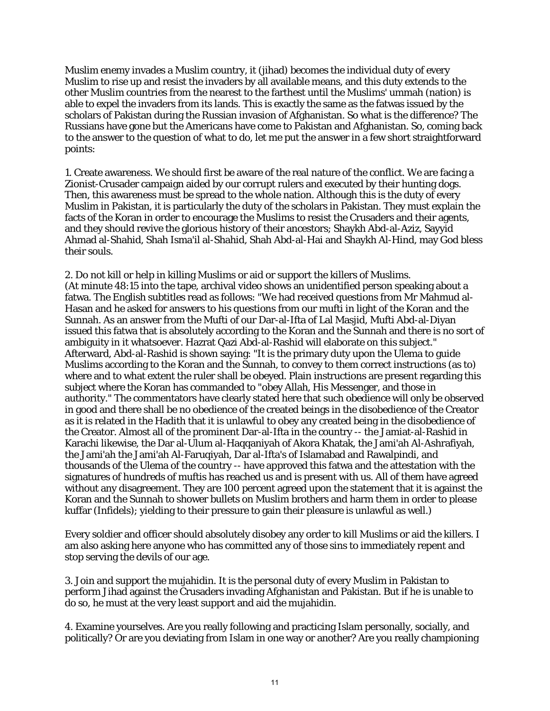Muslim enemy invades a Muslim country, it (jihad) becomes the individual duty of every Muslim to rise up and resist the invaders by all available means, and this duty extends to the other Muslim countries from the nearest to the farthest until the Muslims' ummah (nation) is able to expel the invaders from its lands. This is exactly the same as the fatwas issued by the scholars of Pakistan during the Russian invasion of Afghanistan. So what is the difference? The Russians have gone but the Americans have come to Pakistan and Afghanistan. So, coming back to the answer to the question of what to do, let me put the answer in a few short straightforward points:

1. Create awareness. We should first be aware of the real nature of the conflict. We are facing a Zionist-Crusader campaign aided by our corrupt rulers and executed by their hunting dogs. Then, this awareness must be spread to the whole nation. Although this is the duty of every Muslim in Pakistan, it is particularly the duty of the scholars in Pakistan. They must explain the facts of the Koran in order to encourage the Muslims to resist the Crusaders and their agents, and they should revive the glorious history of their ancestors; Shaykh Abd-al-Aziz, Sayyid Ahmad al-Shahid, Shah Isma'il al-Shahid, Shah Abd-al-Hai and Shaykh Al-Hind, may God bless their souls.

2. Do not kill or help in killing Muslims or aid or support the killers of Muslims. (At minute 48:15 into the tape, archival video shows an unidentified person speaking about a fatwa. The English subtitles read as follows: "We had received questions from Mr Mahmud al-Hasan and he asked for answers to his questions from our mufti in light of the Koran and the Sunnah. As an answer from the Mufti of our Dar-al-Ifta of Lal Masjid, Mufti Abd-al-Diyan issued this fatwa that is absolutely according to the Koran and the Sunnah and there is no sort of ambiguity in it whatsoever. Hazrat Qazi Abd-al-Rashid will elaborate on this subject." Afterward, Abd-al-Rashid is shown saying: "It is the primary duty upon the Ulema to guide Muslims according to the Koran and the Sunnah, to convey to them correct instructions (as to) where and to what extent the ruler shall be obeyed. Plain instructions are present regarding this subject where the Koran has commanded to "obey Allah, His Messenger, and those in authority." The commentators have clearly stated here that such obedience will only be observed in good and there shall be no obedience of the created beings in the disobedience of the Creator as it is related in the Hadith that it is unlawful to obey any created being in the disobedience of the Creator. Almost all of the prominent Dar-al-Ifta in the country -- the Jamiat-al-Rashid in Karachi likewise, the Dar al-Ulum al-Haqqaniyah of Akora Khatak, the Jami'ah Al-Ashrafiyah, the Jami'ah the Jami'ah Al-Faruqiyah, Dar al-Ifta's of Islamabad and Rawalpindi, and thousands of the Ulema of the country -- have approved this fatwa and the attestation with the signatures of hundreds of muftis has reached us and is present with us. All of them have agreed without any disagreement. They are 100 percent agreed upon the statement that it is against the Koran and the Sunnah to shower bullets on Muslim brothers and harm them in order to please kuffar (Infidels); yielding to their pressure to gain their pleasure is unlawful as well.)

Every soldier and officer should absolutely disobey any order to kill Muslims or aid the killers. I am also asking here anyone who has committed any of those sins to immediately repent and stop serving the devils of our age.

3. Join and support the mujahidin. It is the personal duty of every Muslim in Pakistan to perform Jihad against the Crusaders invading Afghanistan and Pakistan. But if he is unable to do so, he must at the very least support and aid the mujahidin.

4. Examine yourselves. Are you really following and practicing Islam personally, socially, and politically? Or are you deviating from Islam in one way or another? Are you really championing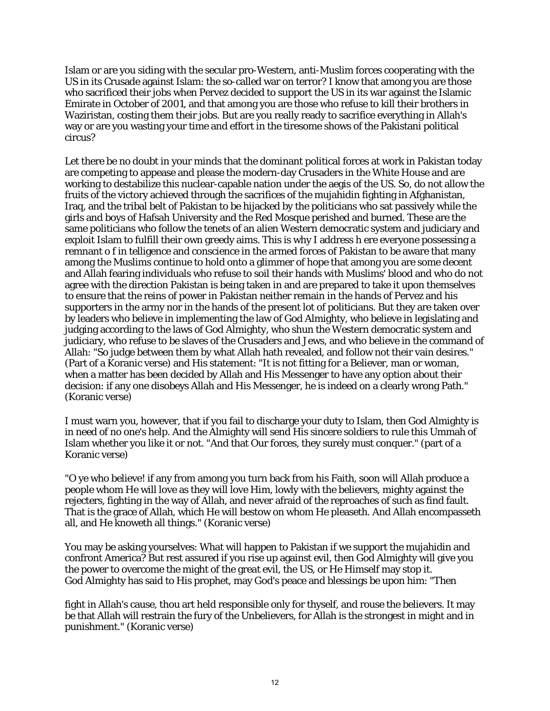Islam or are you siding with the secular pro-Western, anti-Muslim forces cooperating with the US in its Crusade against Islam: the so-called war on terror? I know that among you are those who sacrificed their jobs when Pervez decided to support the US in its war against the Islamic Emirate in October of 2001, and that among you are those who refuse to kill their brothers in Waziristan, costing them their jobs. But are you really ready to sacrifice everything in Allah's way or are you wasting your time and effort in the tiresome shows of the Pakistani political circus?

Let there be no doubt in your minds that the dominant political forces at work in Pakistan today are competing to appease and please the modern-day Crusaders in the White House and are working to destabilize this nuclear-capable nation under the aegis of the US. So, do not allow the fruits of the victory achieved through the sacrifices of the mujahidin fighting in Afghanistan, Iraq, and the tribal belt of Pakistan to be hijacked by the politicians who sat passively while the girls and boys of Hafsah University and the Red Mosque perished and burned. These are the same politicians who follow the tenets of an alien Western democratic system and judiciary and exploit Islam to fulfill their own greedy aims. This is why I address h ere everyone possessing a remnant o f in telligence and conscience in the armed forces of Pakistan to be aware that many among the Muslims continue to hold onto a glimmer of hope that among you are some decent and Allah fearing individuals who refuse to soil their hands with Muslims' blood and who do not agree with the direction Pakistan is being taken in and are prepared to take it upon themselves to ensure that the reins of power in Pakistan neither remain in the hands of Pervez and his supporters in the army nor in the hands of the present lot of politicians. But they are taken over by leaders who believe in implementing the law of God Almighty, who believe in legislating and judging according to the laws of God Almighty, who shun the Western democratic system and judiciary, who refuse to be slaves of the Crusaders and Jews, and who believe in the command of Allah: "So judge between them by what Allah hath revealed, and follow not their vain desires." (Part of a Koranic verse) and His statement: "It is not fitting for a Believer, man or woman, when a matter has been decided by Allah and His Messenger to have any option about their decision: if any one disobeys Allah and His Messenger, he is indeed on a clearly wrong Path." (Koranic verse)

I must warn you, however, that if you fail to discharge your duty to Islam, then God Almighty is in need of no one's help. And the Almighty will send His sincere soldiers to rule this Ummah of Islam whether you like it or not. "And that Our forces, they surely must conquer." (part of a Koranic verse)

"O ye who believe! if any from among you turn back from his Faith, soon will Allah produce a people whom He will love as they will love Him, lowly with the believers, mighty against the rejecters, fighting in the way of Allah, and never afraid of the reproaches of such as find fault. That is the grace of Allah, which He will bestow on whom He pleaseth. And Allah encompasseth all, and He knoweth all things." (Koranic verse)

You may be asking yourselves: What will happen to Pakistan if we support the mujahidin and confront America? But rest assured if you rise up against evil, then God Almighty will give you the power to overcome the might of the great evil, the US, or He Himself may stop it. God Almighty has said to His prophet, may God's peace and blessings be upon him: "Then

fight in Allah's cause, thou art held responsible only for thyself, and rouse the believers. It may be that Allah will restrain the fury of the Unbelievers, for Allah is the strongest in might and in punishment." (Koranic verse)